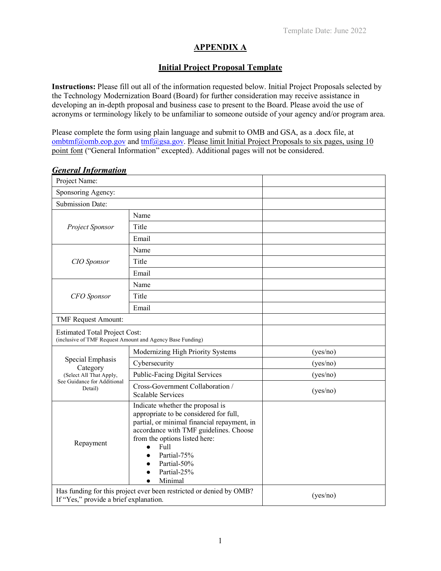## **APPENDIX A**

## **Initial Project Proposal Template**

**Instructions:** Please fill out all of the information requested below. Initial Project Proposals selected by the Technology Modernization Board (Board) for further consideration may receive assistance in developing an in-depth proposal and business case to present to the Board. Please avoid the use of acronyms or terminology likely to be unfamiliar to someone outside of your agency and/or program area.

Please complete the form using plain language and submit to OMB and GSA, as a .docx file, at ombtmf@omb.eop.gov and  $tmf$ @gsa.gov. Please limit Initial Project Proposals to six pages, using 10 point font ("General Information" excepted). Additional pages will not be considered.

| Project Name:                                                                                                 |                                                                                                                                                                                                                                                                      |          |
|---------------------------------------------------------------------------------------------------------------|----------------------------------------------------------------------------------------------------------------------------------------------------------------------------------------------------------------------------------------------------------------------|----------|
| Sponsoring Agency:                                                                                            |                                                                                                                                                                                                                                                                      |          |
| Submission Date:                                                                                              |                                                                                                                                                                                                                                                                      |          |
| Project Sponsor                                                                                               | Name                                                                                                                                                                                                                                                                 |          |
|                                                                                                               | Title                                                                                                                                                                                                                                                                |          |
|                                                                                                               | Email                                                                                                                                                                                                                                                                |          |
| CIO Sponsor                                                                                                   | Name                                                                                                                                                                                                                                                                 |          |
|                                                                                                               | Title                                                                                                                                                                                                                                                                |          |
|                                                                                                               | Email                                                                                                                                                                                                                                                                |          |
| <b>CFO</b> Sponsor                                                                                            | Name                                                                                                                                                                                                                                                                 |          |
|                                                                                                               | Title                                                                                                                                                                                                                                                                |          |
|                                                                                                               | Email                                                                                                                                                                                                                                                                |          |
| <b>TMF Request Amount:</b>                                                                                    |                                                                                                                                                                                                                                                                      |          |
| <b>Estimated Total Project Cost:</b><br>(inclusive of TMF Request Amount and Agency Base Funding)             |                                                                                                                                                                                                                                                                      |          |
| Special Emphasis<br>Category<br>(Select All That Apply,<br>See Guidance for Additional<br>Detail)             | Modernizing High Priority Systems                                                                                                                                                                                                                                    | (yes/no) |
|                                                                                                               | Cybersecurity                                                                                                                                                                                                                                                        | (yes/no) |
|                                                                                                               | <b>Public-Facing Digital Services</b>                                                                                                                                                                                                                                | (yes/no) |
|                                                                                                               | Cross-Government Collaboration /<br><b>Scalable Services</b>                                                                                                                                                                                                         | (yes/no) |
| Repayment                                                                                                     | Indicate whether the proposal is<br>appropriate to be considered for full,<br>partial, or minimal financial repayment, in<br>accordance with TMF guidelines. Choose<br>from the options listed here:<br>Full<br>Partial-75%<br>Partial-50%<br>Partial-25%<br>Minimal |          |
| Has funding for this project ever been restricted or denied by OMB?<br>If "Yes," provide a brief explanation. |                                                                                                                                                                                                                                                                      | (yes/no) |

## *General Information*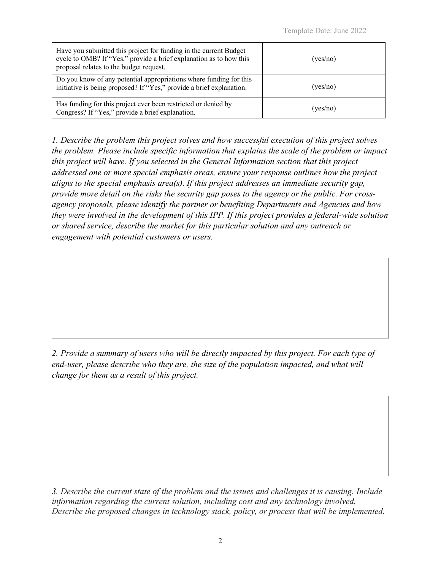| Have you submitted this project for funding in the current Budget<br>cycle to OMB? If "Yes," provide a brief explanation as to how this<br>proposal relates to the budget request. | (yes/no) |
|------------------------------------------------------------------------------------------------------------------------------------------------------------------------------------|----------|
| Do you know of any potential appropriations where funding for this<br>initiative is being proposed? If "Yes," provide a brief explanation.                                         | (yes/no) |
| Has funding for this project ever been restricted or denied by<br>Congress? If "Yes," provide a brief explanation.                                                                 | (yes/no) |

*1. Describe the problem this project solves and how successful execution of this project solves the problem. Please include specific information that explains the scale of the problem or impact this project will have. If you selected in the General Information section that this project addressed one or more special emphasis areas, ensure your response outlines how the project aligns to the special emphasis area(s). If this project addresses an immediate security gap, provide more detail on the risks the security gap poses to the agency or the public. For crossagency proposals, please identify the partner or benefiting Departments and Agencies and how they were involved in the development of this IPP. If this project provides a federal-wide solution or shared service, describe the market for this particular solution and any outreach or engagement with potential customers or users.*

*2. Provide a summary of users who will be directly impacted by this project. For each type of end-user, please describe who they are, the size of the population impacted, and what will change for them as a result of this project.* 

*3. Describe the current state of the problem and the issues and challenges it is causing. Include information regarding the current solution, including cost and any technology involved. Describe the proposed changes in technology stack, policy, or process that will be implemented.*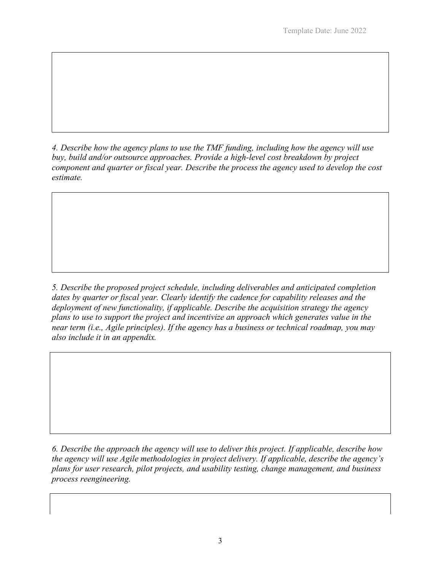*4. Describe how the agency plans to use the TMF funding, including how the agency will use buy, build and/or outsource approaches. Provide a high-level cost breakdown by project component and quarter or fiscal year. Describe the process the agency used to develop the cost estimate.*

*5. Describe the proposed project schedule, including deliverables and anticipated completion dates by quarter or fiscal year. Clearly identify the cadence for capability releases and the deployment of new functionality, if applicable. Describe the acquisition strategy the agency plans to use to support the project and incentivize an approach which generates value in the near term (i.e., Agile principles). If the agency has a business or technical roadmap, you may also include it in an appendix.*

*6. Describe the approach the agency will use to deliver this project. If applicable, describe how the agency will use Agile methodologies in project delivery. If applicable, describe the agency's plans for user research, pilot projects, and usability testing, change management, and business process reengineering.*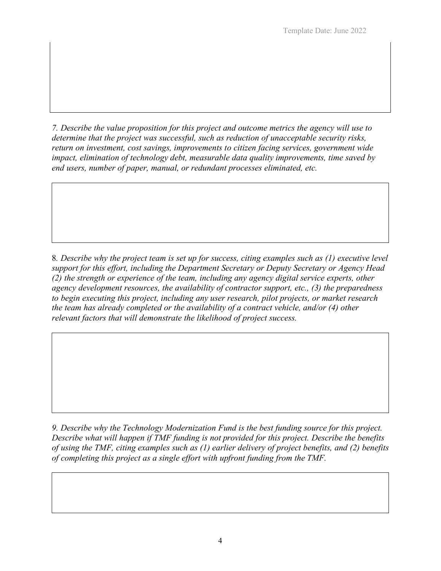*7. Describe the value proposition for this project and outcome metrics the agency will use to determine that the project was successful, such as reduction of unacceptable security risks, return on investment, cost savings, improvements to citizen facing services, government wide impact, elimination of technology debt, measurable data quality improvements, time saved by end users, number of paper, manual, or redundant processes eliminated, etc.*

8*. Describe why the project team is set up for success, citing examples such as (1) executive level support for this effort, including the Department Secretary or Deputy Secretary or Agency Head (2) the strength or experience of the team, including any agency digital service experts, other agency development resources, the availability of contractor support, etc., (3) the preparedness to begin executing this project, including any user research, pilot projects, or market research the team has already completed or the availability of a contract vehicle, and/or (4) other relevant factors that will demonstrate the likelihood of project success.*

*9. Describe why the Technology Modernization Fund is the best funding source for this project. Describe what will happen if TMF funding is not provided for this project. Describe the benefits of using the TMF, citing examples such as (1) earlier delivery of project benefits, and (2) benefits of completing this project as a single effort with upfront funding from the TMF.*